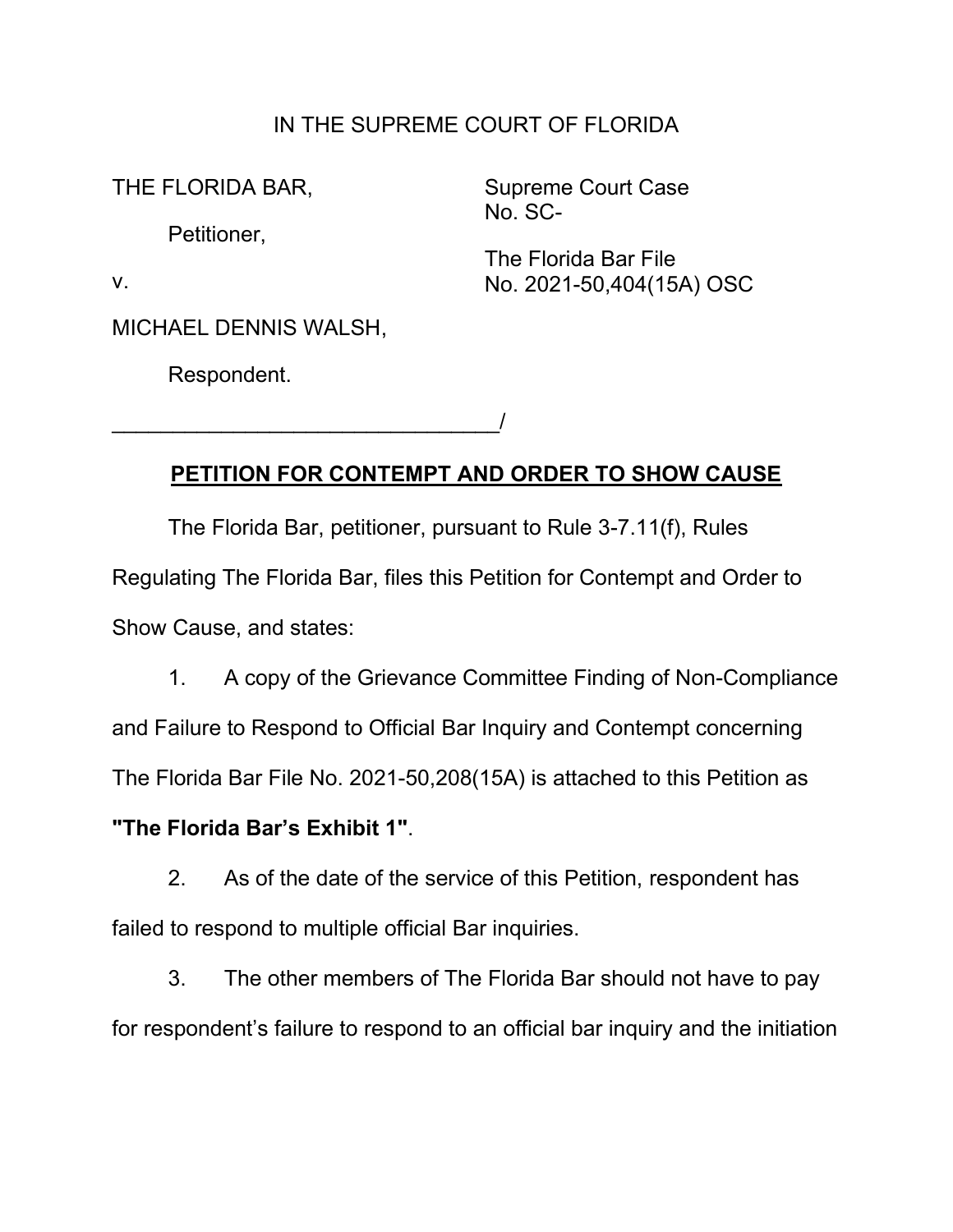## IN THE SUPREME COURT OF FLORIDA

No. SC- Petitioner,

THE FLORIDA BAR, Supreme Court Case

The Florida Bar File v. No. 2021-50,404(15A) OSC

MICHAEL DENNIS WALSH,

\_\_\_\_\_\_\_\_\_\_\_\_\_\_\_\_\_\_\_\_\_\_\_\_\_\_\_\_\_\_\_\_/

Respondent.

## **PETITION FOR CONTEMPT AND ORDER TO SHOW CAUSE**

The Florida Bar, petitioner, pursuant to Rule 3-7.11(f), Rules Regulating The Florida Bar, files this Petition for Contempt and Order to Show Cause, and states:

1. A copy of the Grievance Committee Finding of Non-Compliance and Failure to Respond to Official Bar Inquiry and Contempt concerning The Florida Bar File No. 2021-50,208(15A) is attached to this Petition as

## **"The Florida Bar's Exhibit 1"**.

2. As of the date of the service of this Petition, respondent has failed to respond to multiple official Bar inquiries.

3. The other members of The Florida Bar should not have to pay for respondent's failure to respond to an official bar inquiry and the initiation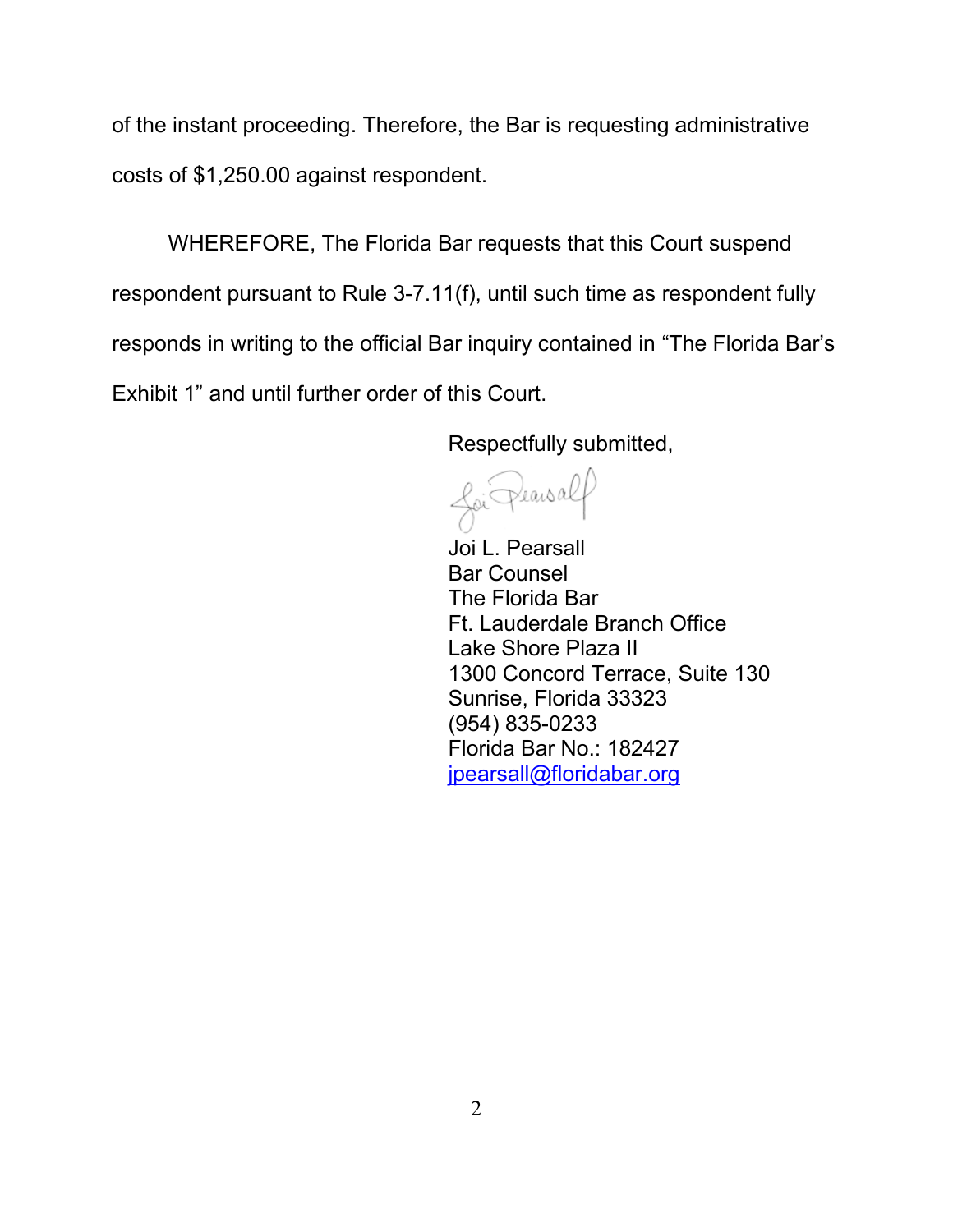of the instant proceeding. Therefore, the Bar is requesting administrative costs of \$1,250.00 against respondent.

WHEREFORE, The Florida Bar requests that this Court suspend respondent pursuant to Rule 3-7.11(f), until such time as respondent fully responds in writing to the official Bar inquiry contained in "The Florida Bar's Exhibit 1" and until further order of this Court.

Respectfully submitted,

<u>foi</u> Pearsalf

Joi L. Pearsall Bar Counsel The Florida Bar Ft. Lauderdale Branch Office Lake Shore Plaza II 1300 Concord Terrace, Suite 130 Sunrise, Florida 33323 (954) 835-0233 Florida Bar No.: 182427 [jpearsall@floridabar.org](mailto:jpearsall@floridabar.org)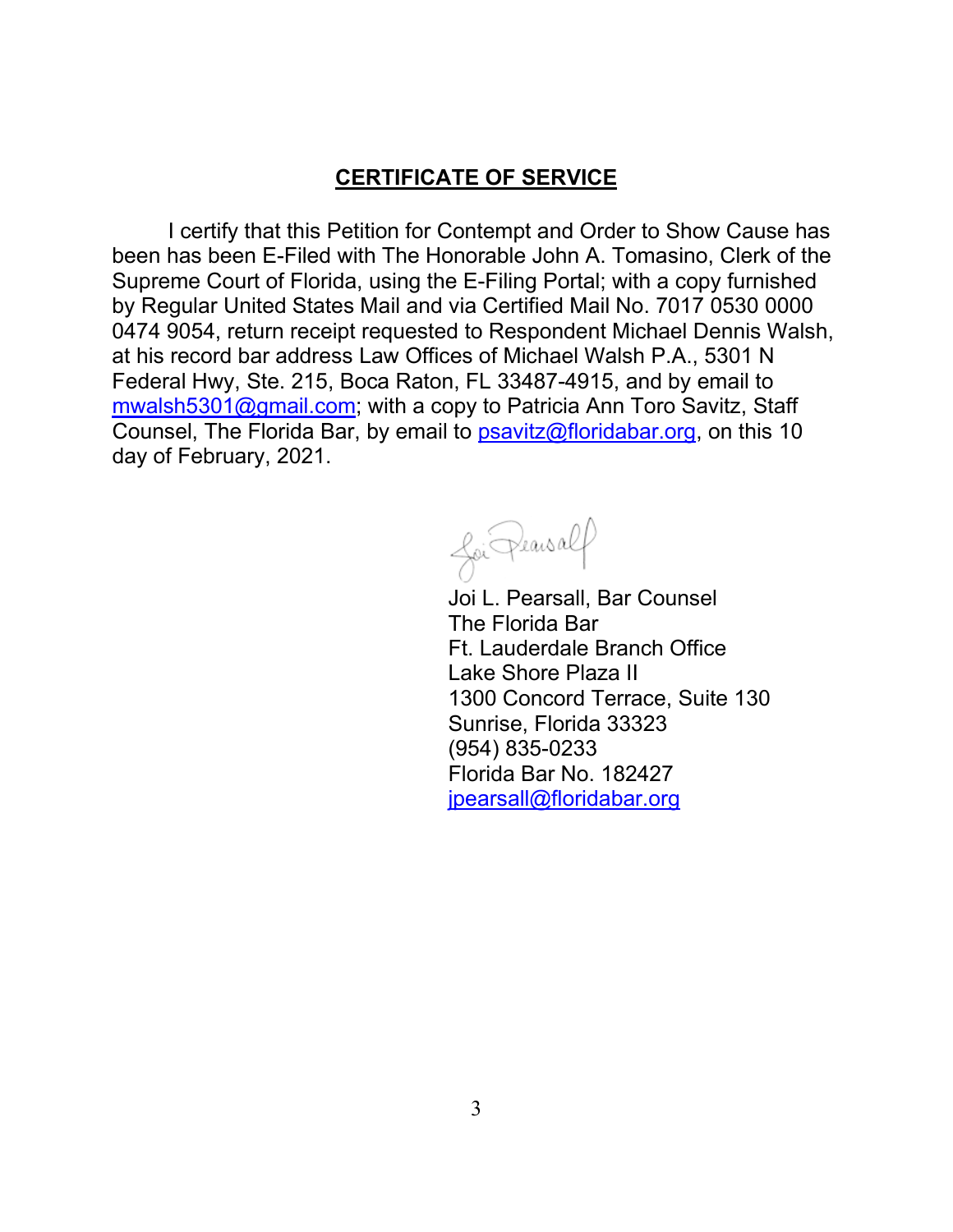## **CERTIFICATE OF SERVICE**

I certify that this Petition for Contempt and Order to Show Cause has been has been E-Filed with The Honorable John A. Tomasino, Clerk of the Supreme Court of Florida, using the E-Filing Portal; with a copy furnished by Regular United States Mail and via Certified Mail No. 7017 0530 0000 0474 9054, return receipt requested to Respondent Michael Dennis Walsh, at his record bar address Law Offices of Michael Walsh P.A., 5301 N Federal Hwy, Ste. 215, Boca Raton, FL 33487-4915, and by email to mwalsh5301@gmail.com; with a copy to Patricia Ann Toro Savitz, Staff Counsel, The Florida Bar, by email to **psavitz@floridabar.org**, on this 10 day of February, 2021.

foi Pearsalf

 Lake Shore Plaza II 1300 Concord Terrace, Suite 130 Sunrise, Florida 33323 Florida Bar No. 182427 Joi L. Pearsall, Bar Counsel The Florida Bar Ft. Lauderdale Branch Office (954) 835-0233 [jpearsall@floridabar.org](mailto:jpearsall@floridabar.org)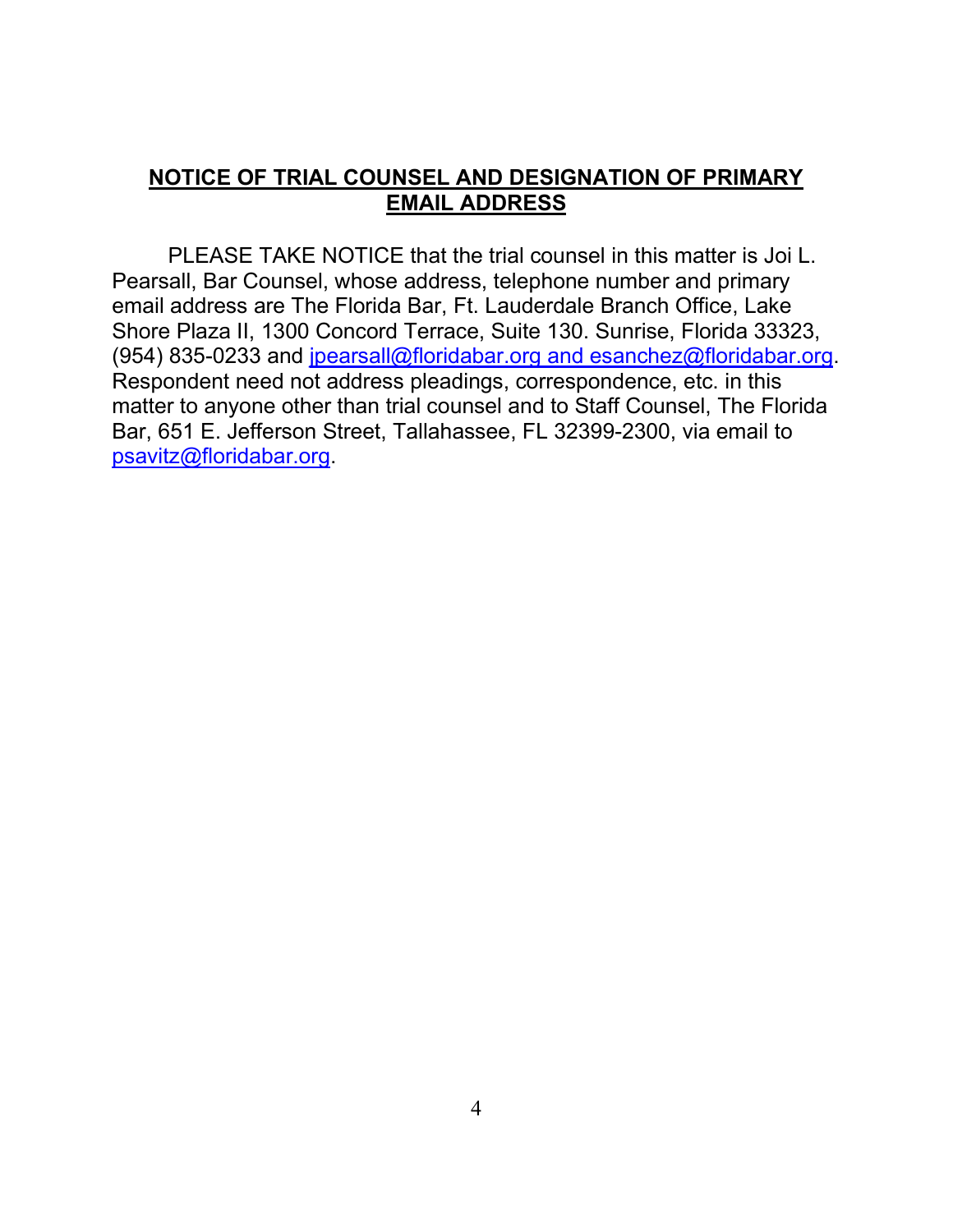## **NOTICE OF TRIAL COUNSEL AND DESIGNATION OF PRIMARY EMAIL ADDRESS**

PLEASE TAKE NOTICE that the trial counsel in this matter is Joi L. Pearsall, Bar Counsel, whose address, telephone number and primary email address are The Florida Bar, Ft. Lauderdale Branch Office, Lake Shore Plaza II, 1300 Concord Terrace, Suite 130. Sunrise, Florida 33323, (954) 835-0233 and [jpearsall@floridabar.org](mailto:jpearsall@floridabar.org) and esanchez@floridabar.org. Respondent need not address pleadings, correspondence, etc. in this matter to anyone other than trial counsel and to Staff Counsel, The Florida Bar, 651 E. Jefferson Street, Tallahassee, FL 32399-2300, via email to [psavitz@floridabar.org.](mailto:asackett@floridabar.org)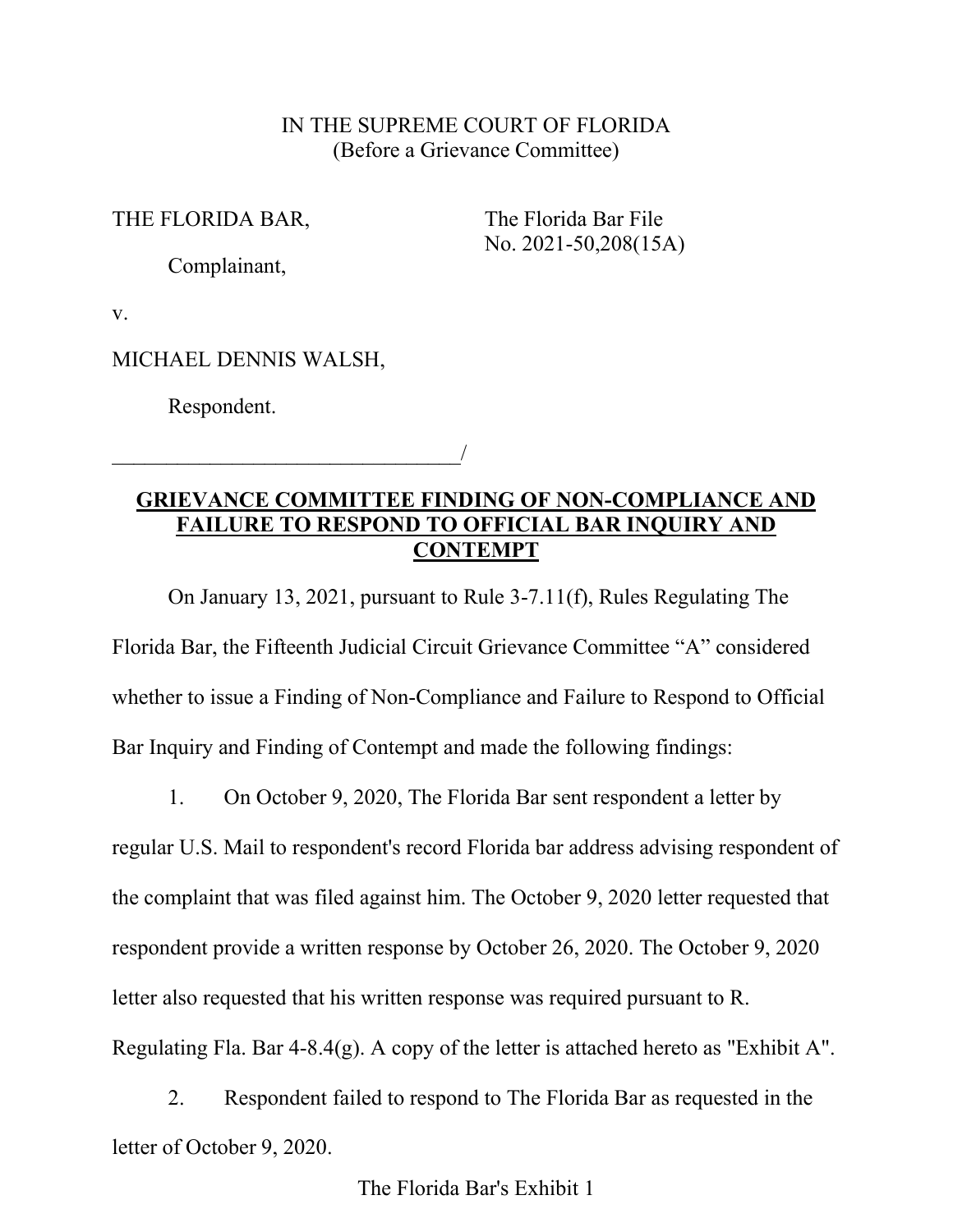### IN THE SUPREME COURT OF FLORIDA (Before a Grievance Committee)

#### THE FLORIDA BAR, The Florida Bar File

No. 2021-50,208(15A)

Complainant,

v.

MICHAEL DENNIS WALSH,

\_\_\_\_\_\_\_\_\_\_\_\_\_\_\_\_\_\_\_\_\_\_\_\_\_\_\_\_\_\_\_\_/

Respondent.

## **GRIEVANCE COMMITTEE FINDING OF NON-COMPLIANCE AND FAILURE TO RESPOND TO OFFICIAL BAR INQUIRY AND CONTEMPT**

On January 13, 2021, pursuant to Rule 3-7.11(f), Rules Regulating The Florida Bar, the Fifteenth Judicial Circuit Grievance Committee "A" considered whether to issue a Finding of Non-Compliance and Failure to Respond to Official Bar Inquiry and Finding of Contempt and made the following findings:

1. On October 9, 2020, The Florida Bar sent respondent a letter by regular U.S. Mail to respondent's record Florida bar address advising respondent of the complaint that was filed against him. The October 9, 2020 letter requested that respondent provide a written response by October 26, 2020. The October 9, 2020 letter also requested that his written response was required pursuant to R. Regulating Fla. Bar 4-8.4(g). A copy of the letter is attached hereto as "Exhibit A".

2. Respondent failed to respond to The Florida Bar as requested in the letter of October 9, 2020.

The Florida Bar's Exhibit 1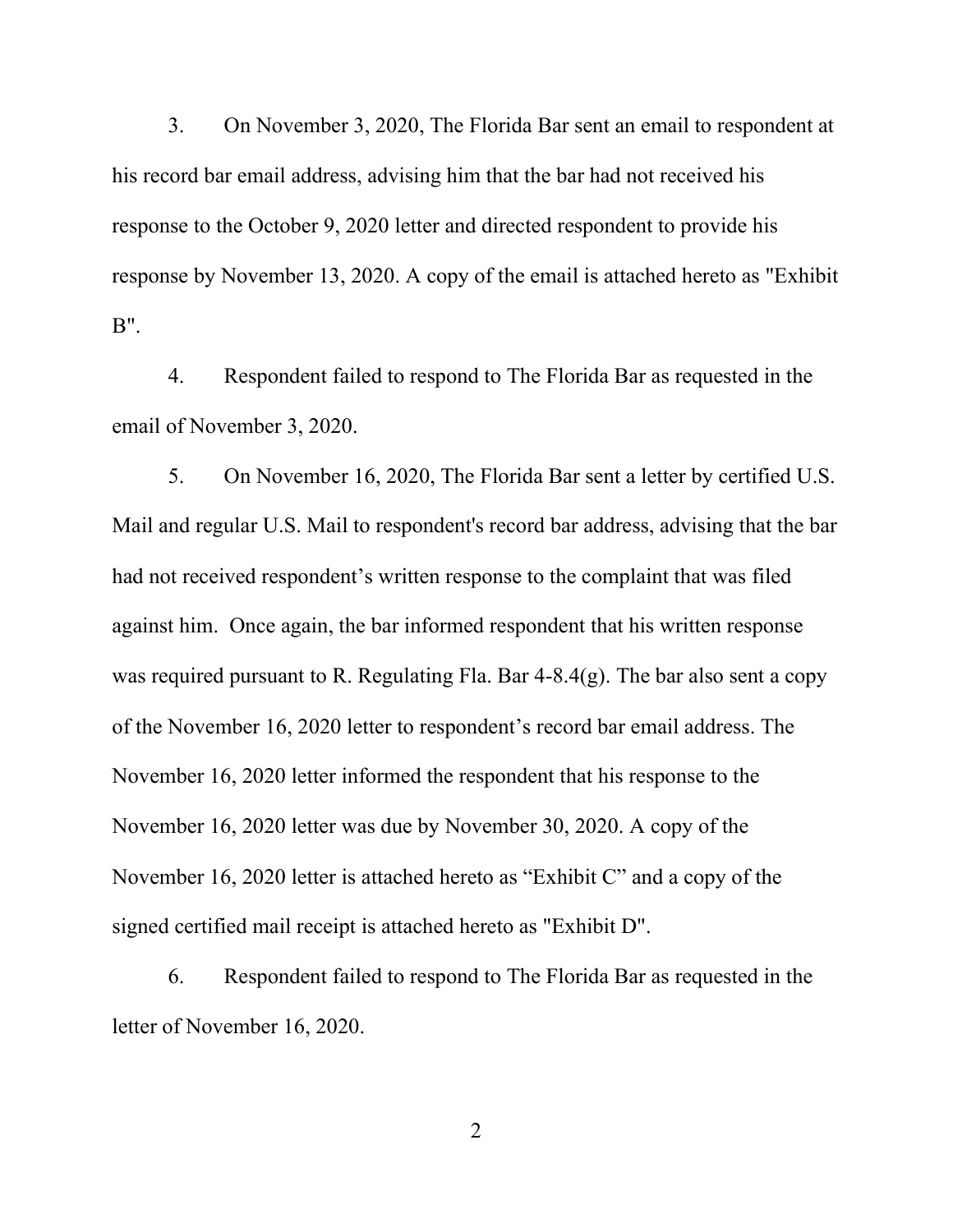3. On November 3, 2020, The Florida Bar sent an email to respondent at his record bar email address, advising him that the bar had not received his response to the October 9, 2020 letter and directed respondent to provide his response by November 13, 2020. A copy of the email is attached hereto as "Exhibit B".

4. Respondent failed to respond to The Florida Bar as requested in the email of November 3, 2020.

5. On November 16, 2020, The Florida Bar sent a letter by certified U.S. Mail and regular U.S. Mail to respondent's record bar address, advising that the bar had not received respondent's written response to the complaint that was filed against him. Once again, the bar informed respondent that his written response was required pursuant to R. Regulating Fla. Bar 4-8.4(g). The bar also sent a copy of the November 16, 2020 letter to respondent's record bar email address. The November 16, 2020 letter informed the respondent that his response to the November 16, 2020 letter was due by November 30, 2020. A copy of the November 16, 2020 letter is attached hereto as "Exhibit C" and a copy of the signed certified mail receipt is attached hereto as "Exhibit D".

6. Respondent failed to respond to The Florida Bar as requested in the letter of November 16, 2020.

2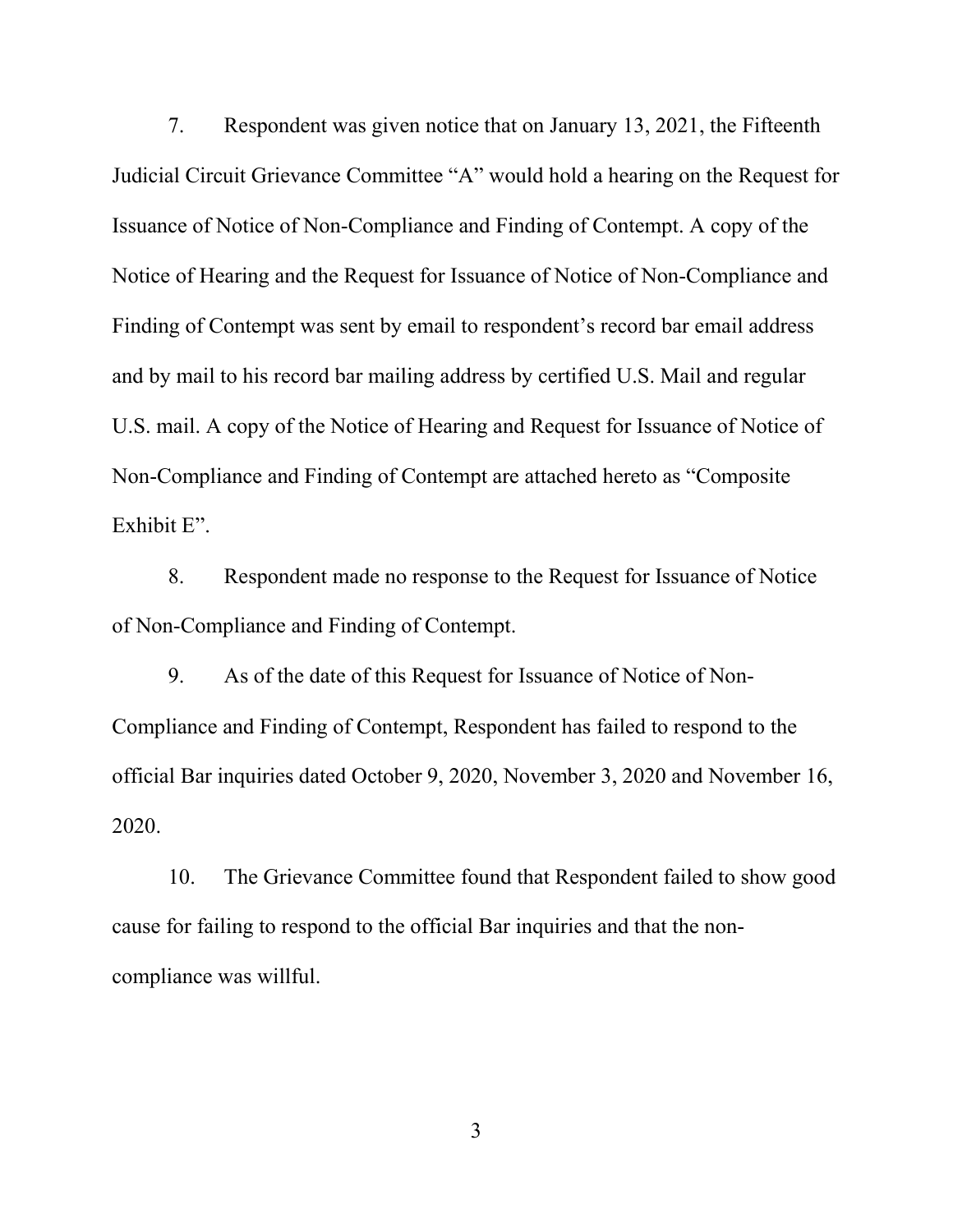7. Respondent was given notice that on January 13, 2021, the Fifteenth Judicial Circuit Grievance Committee "A" would hold a hearing on the Request for Issuance of Notice of Non-Compliance and Finding of Contempt. A copy of the Notice of Hearing and the Request for Issuance of Notice of Non-Compliance and Finding of Contempt was sent by email to respondent's record bar email address and by mail to his record bar mailing address by certified U.S. Mail and regular U.S. mail. A copy of the Notice of Hearing and Request for Issuance of Notice of Non-Compliance and Finding of Contempt are attached hereto as "Composite Exhibit E".

8. Respondent made no response to the Request for Issuance of Notice of Non-Compliance and Finding of Contempt.

9. As of the date of this Request for Issuance of Notice of Non-Compliance and Finding of Contempt, Respondent has failed to respond to the official Bar inquiries dated October 9, 2020, November 3, 2020 and November 16, 2020.

10. The Grievance Committee found that Respondent failed to show good cause for failing to respond to the official Bar inquiries and that the noncompliance was willful.

3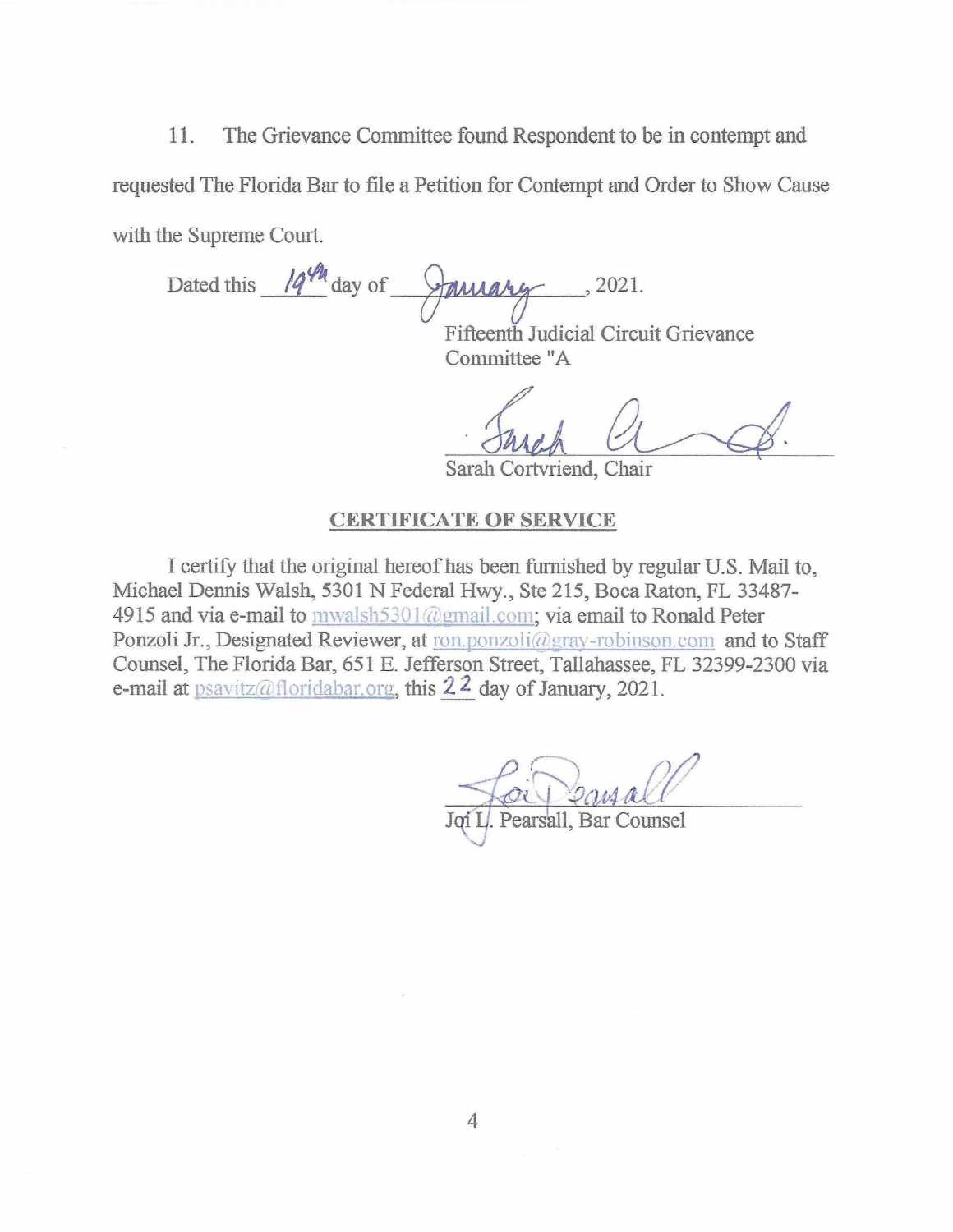11. The Grievance Committee found Respondent to be in contempt and requested The Florida Bar to file a Petition for Contempt and Order to Show Cause with the Supreme Court.

Dated this 19<sup>th</sup> day of January , 2021.

Fifteenth Judicial Circuit Grievance Committee "A

Sarah Cortvriend, Chair

#### **CERTIFICATE OF SERVICE**

I certify that the original hereof has been funrished by regular U.S. Mail to, Michael Dennis Walsh, 5301 N Federal Hwy., Ste 215, Boca Raton, FL 33487- 4915 and via e-mail to mwalsh5301@gmail.com; via email to Ronald Peter Ponzoli Jr., Designated Reviewer, at ron.ponzoli@gray-robinson.com and to Staff Counsel, The Florida Bar, 651 E. Jefferson Street, Tallahassee, FL 32399-2300 via e-mail at  $psavity@float.org, this 22 day of January, 2021.$ 

Pearsall, Bar Counsel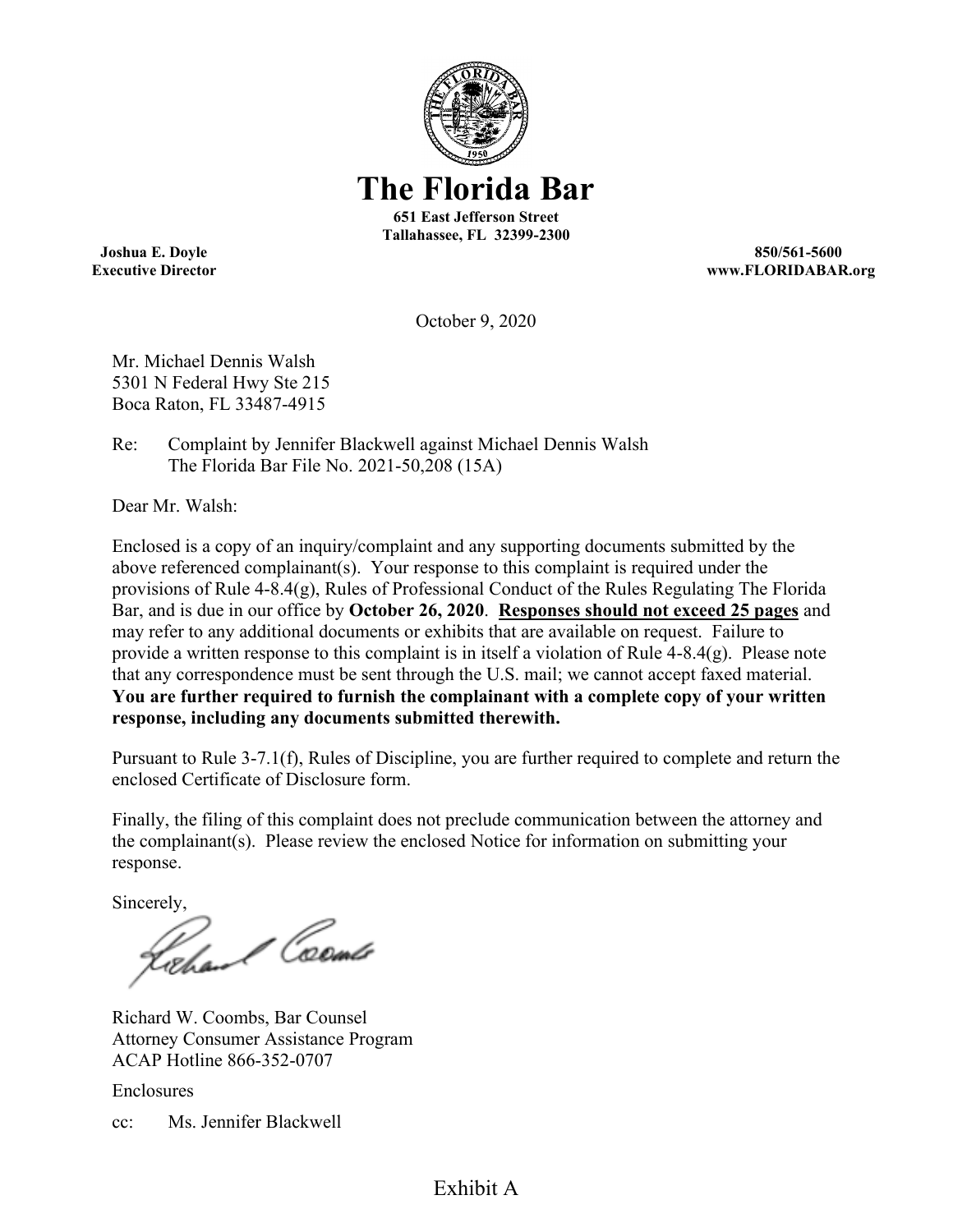

**Executive Director www.FLORIDABAR.org** 

October 9, 2020

Mr. Michael Dennis Walsh 5301 N Federal Hwy Ste 215 Boca Raton, FL 33487-4915

Re: Complaint by Jennifer Blackwell against Michael Dennis Walsh The Florida Bar File No. 2021-50,208 (15A)

Dear Mr. Walsh:

Enclosed is a copy of an inquiry/complaint and any supporting documents submitted by the above referenced complainant(s). Your response to this complaint is required under the provisions of Rule 4-8.4(g), Rules of Professional Conduct of the Rules Regulating The Florida Bar, and is due in our office by **October 26, 2020**. **Responses should not exceed 25 pages** and may refer to any additional documents or exhibits that are available on request. Failure to provide a written response to this complaint is in itself a violation of Rule 4-8.4(g). Please note that any correspondence must be sent through the U.S. mail; we cannot accept faxed material. **You are further required to furnish the complainant with a complete copy of your written response, including any documents submitted therewith.** 

Pursuant to Rule 3-7.1(f), Rules of Discipline, you are further required to complete and return the enclosed Certificate of Disclosure form.

Finally, the filing of this complaint does not preclude communication between the attorney and the complainant(s). Please review the enclosed Notice for information on submitting your response.

Sincerely,<br>Rochand Coemer

Richard W. Coombs, Bar Counsel Attorney Consumer Assistance Program ACAP Hotline 866-352-0707

Enclosures

cc: Ms. Jennifer Blackwell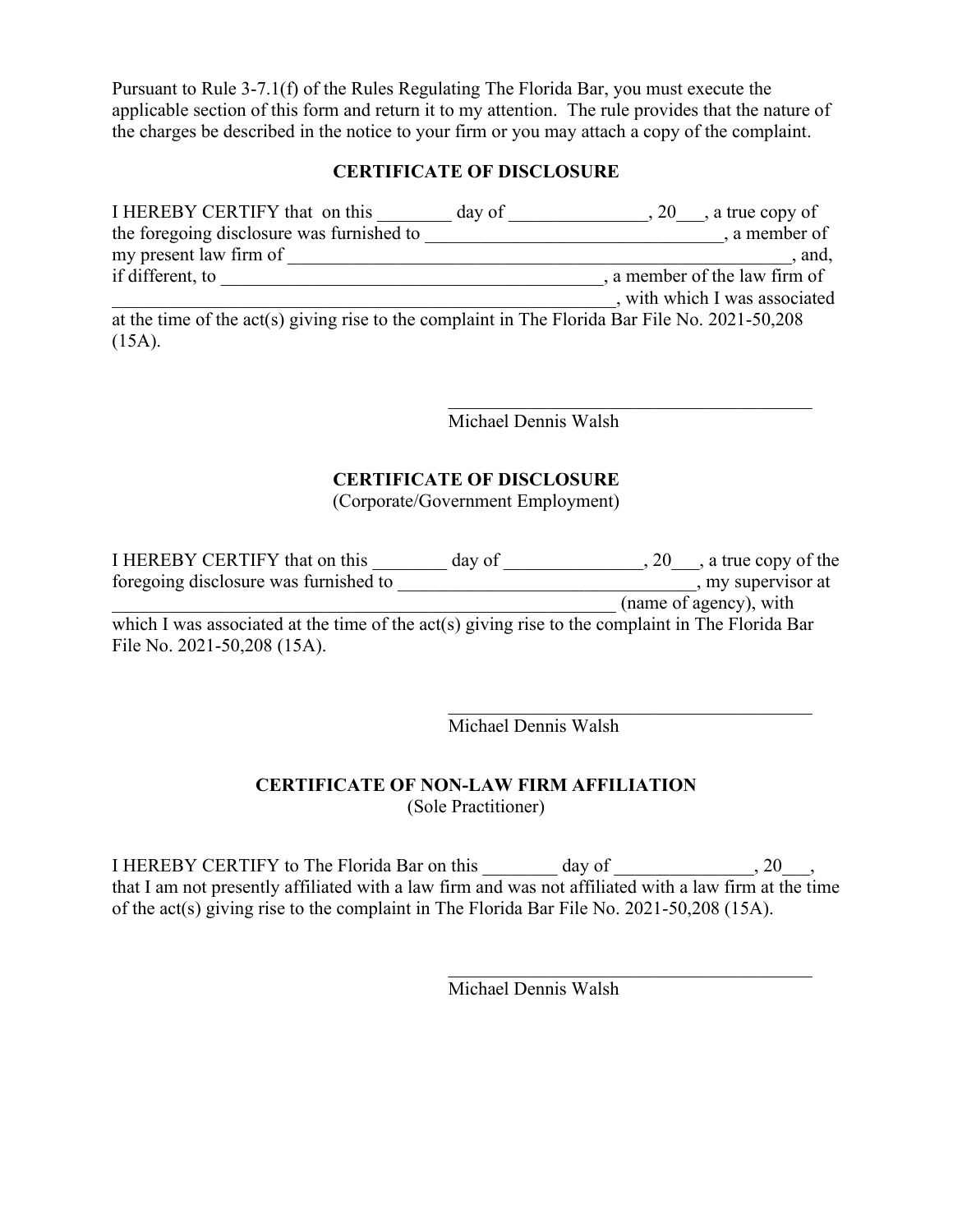Pursuant to Rule 3-7.1(f) of the Rules Regulating The Florida Bar, you must execute the applicable section of this form and return it to my attention. The rule provides that the nature of the charges be described in the notice to your firm or you may attach a copy of the complaint.

#### **CERTIFICATE OF DISCLOSURE**

| I HEREBY CERTIFY that on this                                                                  | day of | $, 20$ , a true copy of       |
|------------------------------------------------------------------------------------------------|--------|-------------------------------|
| the foregoing disclosure was furnished to                                                      |        | , a member of                 |
| my present law firm of                                                                         |        | , and,                        |
| if different, to                                                                               |        | , a member of the law firm of |
|                                                                                                |        | , with which I was associated |
| at the time of the act(s) giving rise to the complaint in The Florida Bar File No. 2021-50,208 |        |                               |
| $(15A)$ .                                                                                      |        |                               |

Michael Dennis Walsh

#### **CERTIFICATE OF DISCLOSURE**

(Corporate/Government Employment)

| I HEREBY CERTIFY that on this                                                                    | day of | $, 20$ , a true copy of the |
|--------------------------------------------------------------------------------------------------|--------|-----------------------------|
| foregoing disclosure was furnished to                                                            |        | , my supervisor at          |
|                                                                                                  |        | (name of agency), with      |
| which I was associated at the time of the act(s) giving rise to the complaint in The Florida Bar |        |                             |
| File No. 2021-50,208 (15A).                                                                      |        |                             |

Michael Dennis Walsh

\_\_\_\_\_\_\_\_\_\_\_\_\_\_\_\_\_\_\_\_\_\_\_\_\_\_\_\_\_\_\_\_\_\_\_\_\_\_\_

\_\_\_\_\_\_\_\_\_\_\_\_\_\_\_\_\_\_\_\_\_\_\_\_\_\_\_\_\_\_\_\_\_\_\_\_\_\_\_

#### **CERTIFICATE OF NON-LAW FIRM AFFILIATION**

(Sole Practitioner)

I HEREBY CERTIFY to The Florida Bar on this day of \_\_\_\_\_\_\_\_\_\_\_\_\_\_\_\_\_, 20\_\_\_, that I am not presently affiliated with a law firm and was not affiliated with a law firm at the time of the act(s) giving rise to the complaint in The Florida Bar File No. 2021-50,208 (15A).

Michael Dennis Walsh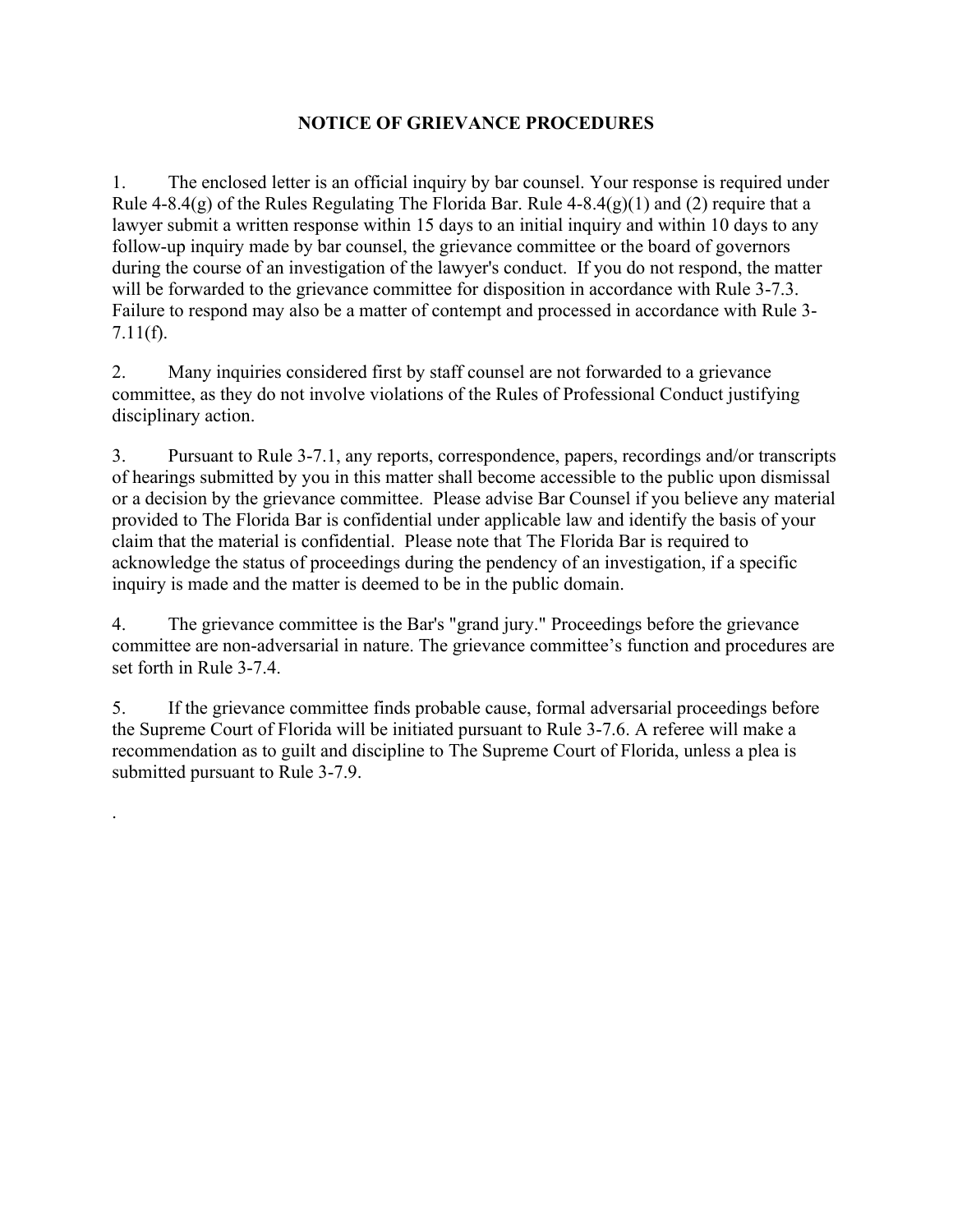#### **NOTICE OF GRIEVANCE PROCEDURES**

1. The enclosed letter is an official inquiry by bar counsel. Your response is required under Rule 4-8.4(g) of the Rules Regulating The Florida Bar. Rule  $4-8.4(g)(1)$  and (2) require that a lawyer submit a written response within 15 days to an initial inquiry and within 10 days to any follow-up inquiry made by bar counsel, the grievance committee or the board of governors during the course of an investigation of the lawyer's conduct. If you do not respond, the matter will be forwarded to the grievance committee for disposition in accordance with Rule 3-7.3. Failure to respond may also be a matter of contempt and processed in accordance with Rule 3- 7.11(f).

2. Many inquiries considered first by staff counsel are not forwarded to a grievance committee, as they do not involve violations of the Rules of Professional Conduct justifying disciplinary action.

3. Pursuant to Rule 3-7.1, any reports, correspondence, papers, recordings and/or transcripts of hearings submitted by you in this matter shall become accessible to the public upon dismissal or a decision by the grievance committee. Please advise Bar Counsel if you believe any material provided to The Florida Bar is confidential under applicable law and identify the basis of your claim that the material is confidential. Please note that The Florida Bar is required to acknowledge the status of proceedings during the pendency of an investigation, if a specific inquiry is made and the matter is deemed to be in the public domain.

4. The grievance committee is the Bar's "grand jury." Proceedings before the grievance committee are non-adversarial in nature. The grievance committee's function and procedures are set forth in Rule 3-7.4.

5. If the grievance committee finds probable cause, formal adversarial proceedings before the Supreme Court of Florida will be initiated pursuant to Rule 3-7.6. A referee will make a recommendation as to guilt and discipline to The Supreme Court of Florida, unless a plea is submitted pursuant to Rule 3-7.9.

.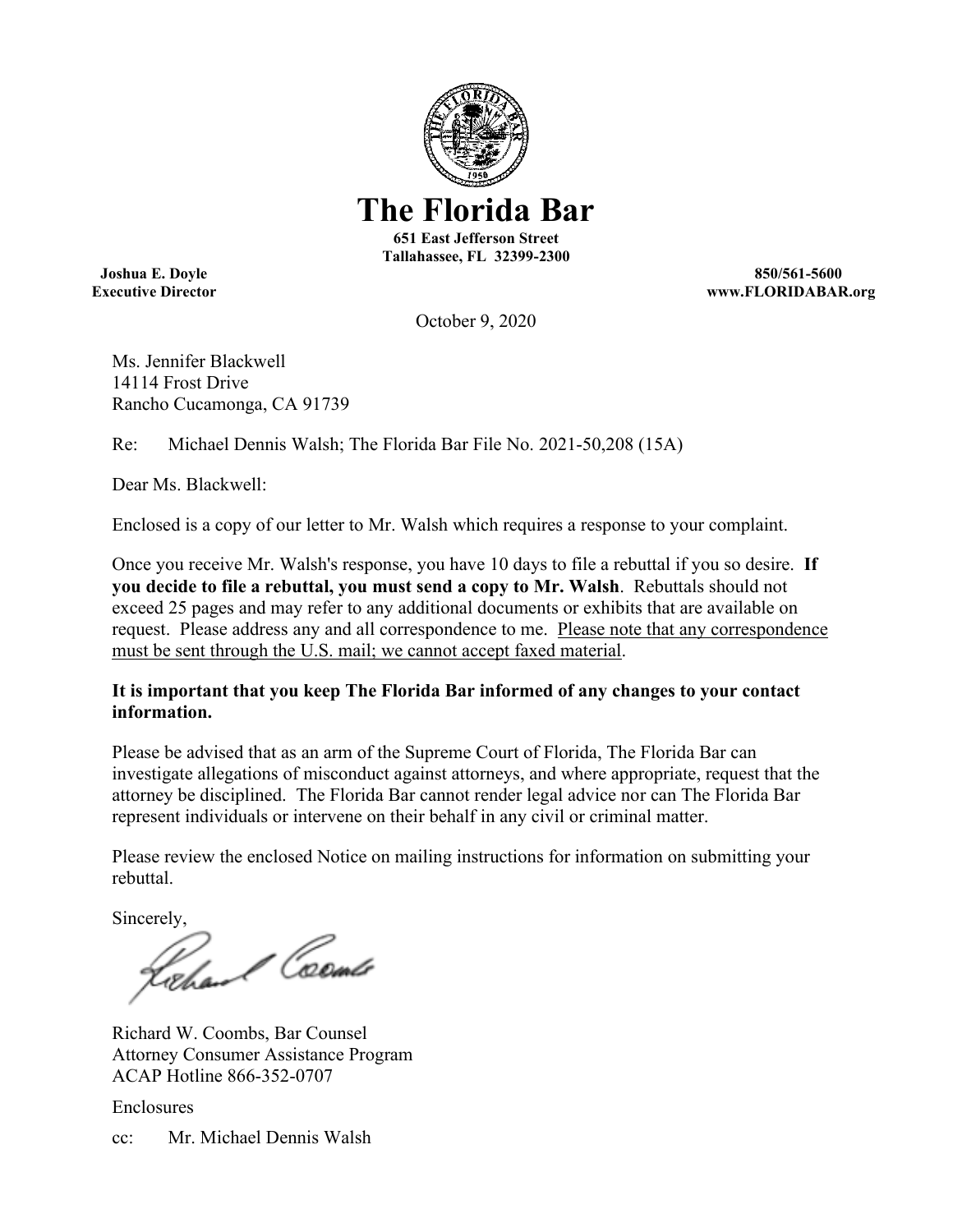

**The Florida Bar** 

**651 East Jefferson Street Tallahassee, FL 32399-2300** 

**Joshua E. Doyle 850/561-5600 Executive Director www.FLORIDABAR.org** 

October 9, 2020

Ms. Jennifer Blackwell 14114 Frost Drive Rancho Cucamonga, CA 91739

Re: Michael Dennis Walsh; The Florida Bar File No. 2021-50,208 (15A)

Dear Ms. Blackwell:

Enclosed is a copy of our letter to Mr. Walsh which requires a response to your complaint.

Once you receive Mr. Walsh's response, you have 10 days to file a rebuttal if you so desire. **If you decide to file a rebuttal, you must send a copy to Mr. Walsh**. Rebuttals should not exceed 25 pages and may refer to any additional documents or exhibits that are available on request. Please address any and all correspondence to me. Please note that any correspondence must be sent through the U.S. mail; we cannot accept faxed material.

#### **It is important that you keep The Florida Bar informed of any changes to your contact information.**

Please be advised that as an arm of the Supreme Court of Florida, The Florida Bar can investigate allegations of misconduct against attorneys, and where appropriate, request that the attorney be disciplined. The Florida Bar cannot render legal advice nor can The Florida Bar represent individuals or intervene on their behalf in any civil or criminal matter.

Please review the enclosed Notice on mailing instructions for information on submitting your rebuttal.

Sincerely,<br>Rocker Coeme

Richard W. Coombs, Bar Counsel Attorney Consumer Assistance Program ACAP Hotline 866-352-0707

Enclosures

cc: Mr. Michael Dennis Walsh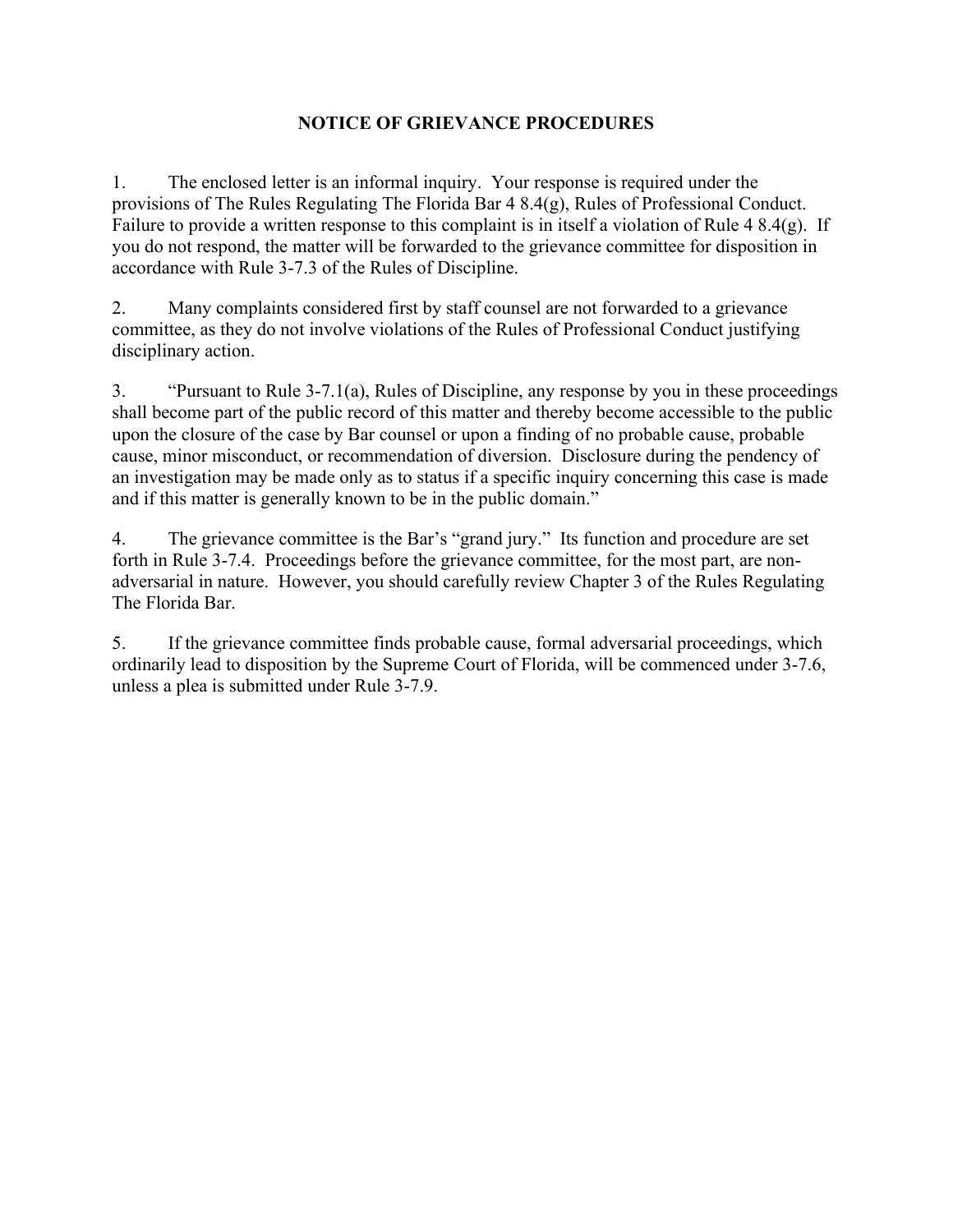#### **NOTICE OF GRIEVANCE PROCEDURES**

1. The enclosed letter is an informal inquiry. Your response is required under the provisions of The Rules Regulating The Florida Bar 4 8.4(g), Rules of Professional Conduct. Failure to provide a written response to this complaint is in itself a violation of Rule 4 8.4(g). If you do not respond, the matter will be forwarded to the grievance committee for disposition in accordance with Rule 3-7.3 of the Rules of Discipline.

2. Many complaints considered first by staff counsel are not forwarded to a grievance committee, as they do not involve violations of the Rules of Professional Conduct justifying disciplinary action.

3. "Pursuant to Rule 3-7.1(a), Rules of Discipline, any response by you in these proceedings shall become part of the public record of this matter and thereby become accessible to the public upon the closure of the case by Bar counsel or upon a finding of no probable cause, probable cause, minor misconduct, or recommendation of diversion. Disclosure during the pendency of an investigation may be made only as to status if a specific inquiry concerning this case is made and if this matter is generally known to be in the public domain."

4. The grievance committee is the Bar's "grand jury." Its function and procedure are set forth in Rule 3-7.4. Proceedings before the grievance committee, for the most part, are nonadversarial in nature. However, you should carefully review Chapter 3 of the Rules Regulating The Florida Bar.

5. If the grievance committee finds probable cause, formal adversarial proceedings, which ordinarily lead to disposition by the Supreme Court of Florida, will be commenced under 3-7.6, unless a plea is submitted under Rule 3-7.9.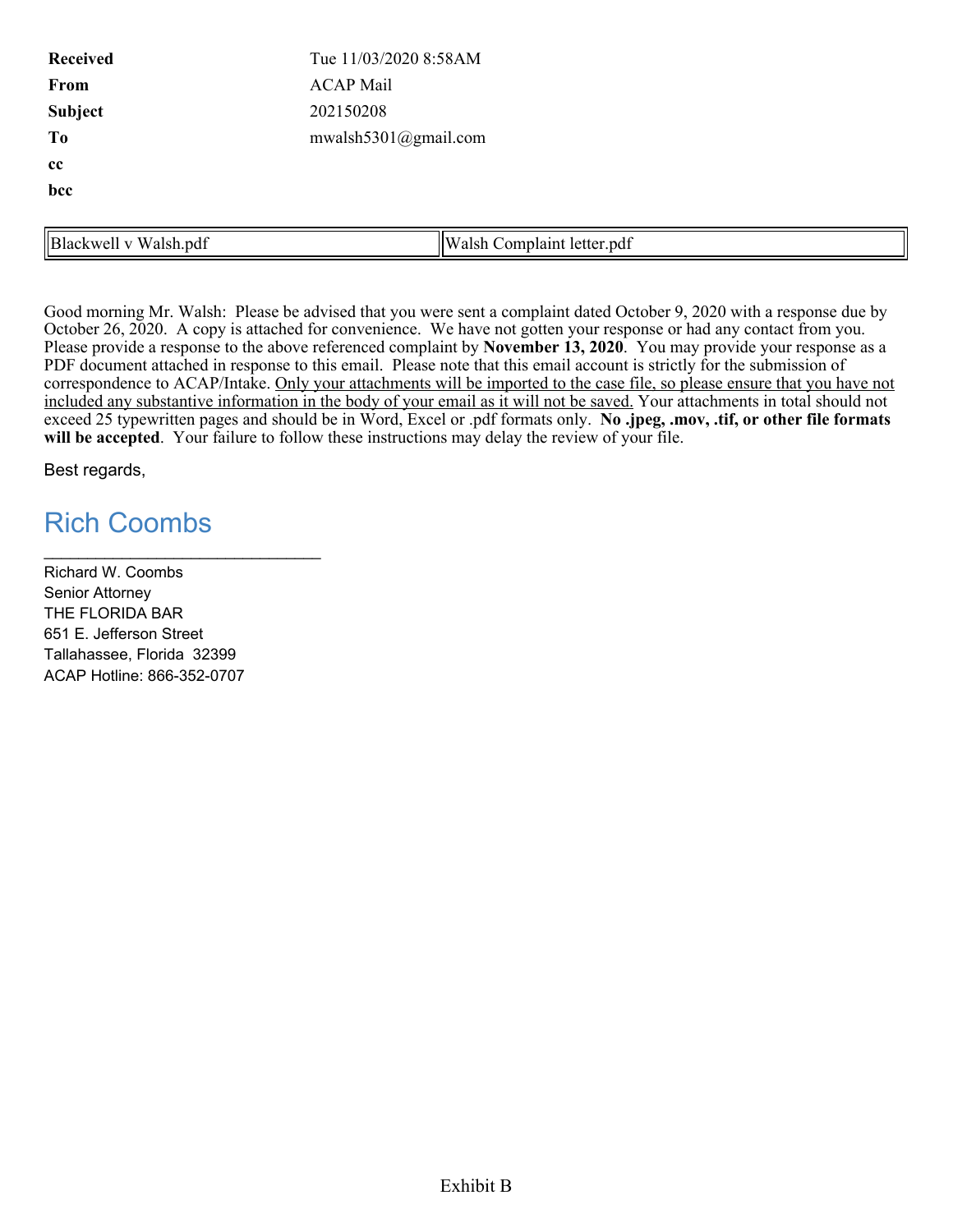| <b>Received</b>       | Tue 11/03/2020 8:58AM      |  |  |
|-----------------------|----------------------------|--|--|
| From                  | <b>ACAP Mail</b>           |  |  |
| Subject               | 202150208                  |  |  |
| To                    | mwalsh5301@gmail.com       |  |  |
| cc                    |                            |  |  |
| bcc                   |                            |  |  |
|                       |                            |  |  |
| Blackwell v Walsh.pdf | Walsh Complaint letter.pdf |  |  |

Good morning Mr. Walsh: Please be advised that you were sent a complaint dated October 9, 2020 with a response due by October 26, 2020. A copy is attached for convenience. We have not gotten your response or had any contact from you. Please provide a response to the above referenced complaint by **November 13, 2020**. You may provide your response as a PDF document attached in response to this email. Please note that this email account is strictly for the submission of correspondence to ACAP/Intake. Only your attachments will be imported to the case file, so please ensure that you have not included any substantive information in the body of your email as it will not be saved. Your attachments in total should not exceed 25 typewritten pages and should be in Word, Excel or .pdf formats only. **No .jpeg, .mov, .tif, or other file formats will be accepted**. Your failure to follow these instructions may delay the review of your file.

Best regards,

## Rich Coombs

Richard W. Coombs Senior Attorney THE FLORIDA BAR 651 E. Jefferson Street Tallahassee, Florida 32399 ACAP Hotline: 866-352-0707

\_\_\_\_\_\_\_\_\_\_\_\_\_\_\_\_\_\_\_\_\_\_\_\_\_\_\_\_\_\_\_\_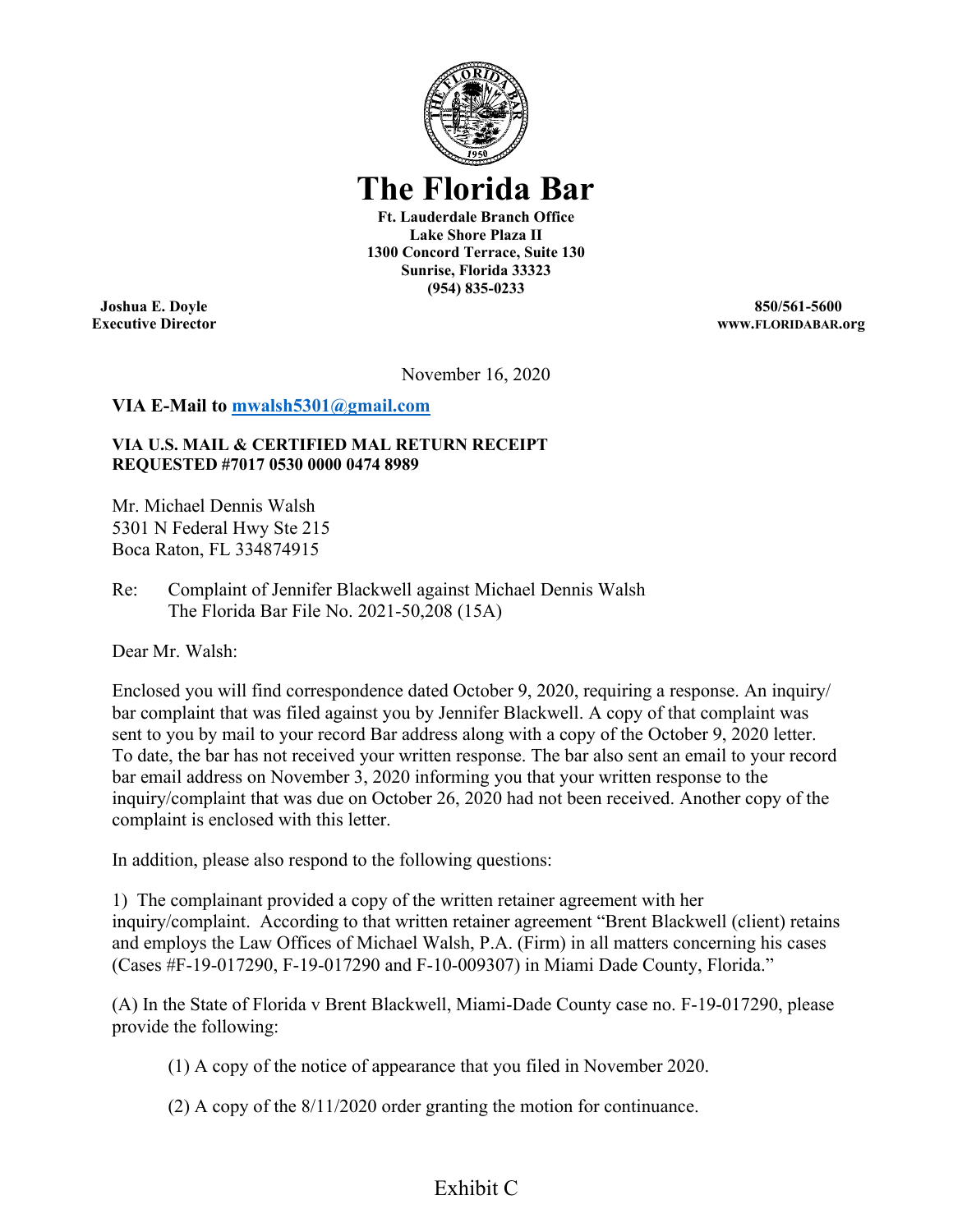

**The Florida Bar** 

**Ft. Lauderdale Branch Office Lake Shore Plaza II 1300 Concord Terrace, Suite 130 Sunrise, Florida 33323 (954) 835-0233** 

**Joshua E. Doyle 850/561-5600 Executive Director www.FLORIDABAR.org** 

November 16, 2020

#### **VIA E-Mail to [mwalsh5301@gmail.com](mailto:mwalsh5301@gmail.com)**

#### **VIA U.S. MAIL & CERTIFIED MAL RETURN RECEIPT REQUESTED #7017 0530 0000 0474 8989**

Mr. Michael Dennis Walsh 5301 N Federal Hwy Ste 215 Boca Raton, FL 334874915

Re: Complaint of Jennifer Blackwell against Michael Dennis Walsh The Florida Bar File No. 2021-50,208 (15A)

Dear Mr. Walsh:

Enclosed you will find correspondence dated October 9, 2020, requiring a response. An inquiry/ bar complaint that was filed against you by Jennifer Blackwell. A copy of that complaint was sent to you by mail to your record Bar address along with a copy of the October 9, 2020 letter. To date, the bar has not received your written response. The bar also sent an email to your record bar email address on November 3, 2020 informing you that your written response to the inquiry/complaint that was due on October 26, 2020 had not been received. Another copy of the complaint is enclosed with this letter.

In addition, please also respond to the following questions:

1) The complainant provided a copy of the written retainer agreement with her inquiry/complaint. According to that written retainer agreement "Brent Blackwell (client) retains and employs the Law Offices of Michael Walsh, P.A. (Firm) in all matters concerning his cases (Cases #F-19-017290, F-19-017290 and F-10-009307) in Miami Dade County, Florida."

(A) In the State of Florida v Brent Blackwell, Miami-Dade County case no. F-19-017290, please provide the following:

(1) A copy of the notice of appearance that you filed in November 2020.

(2) A copy of the 8/11/2020 order granting the motion for continuance.

## Exhibit C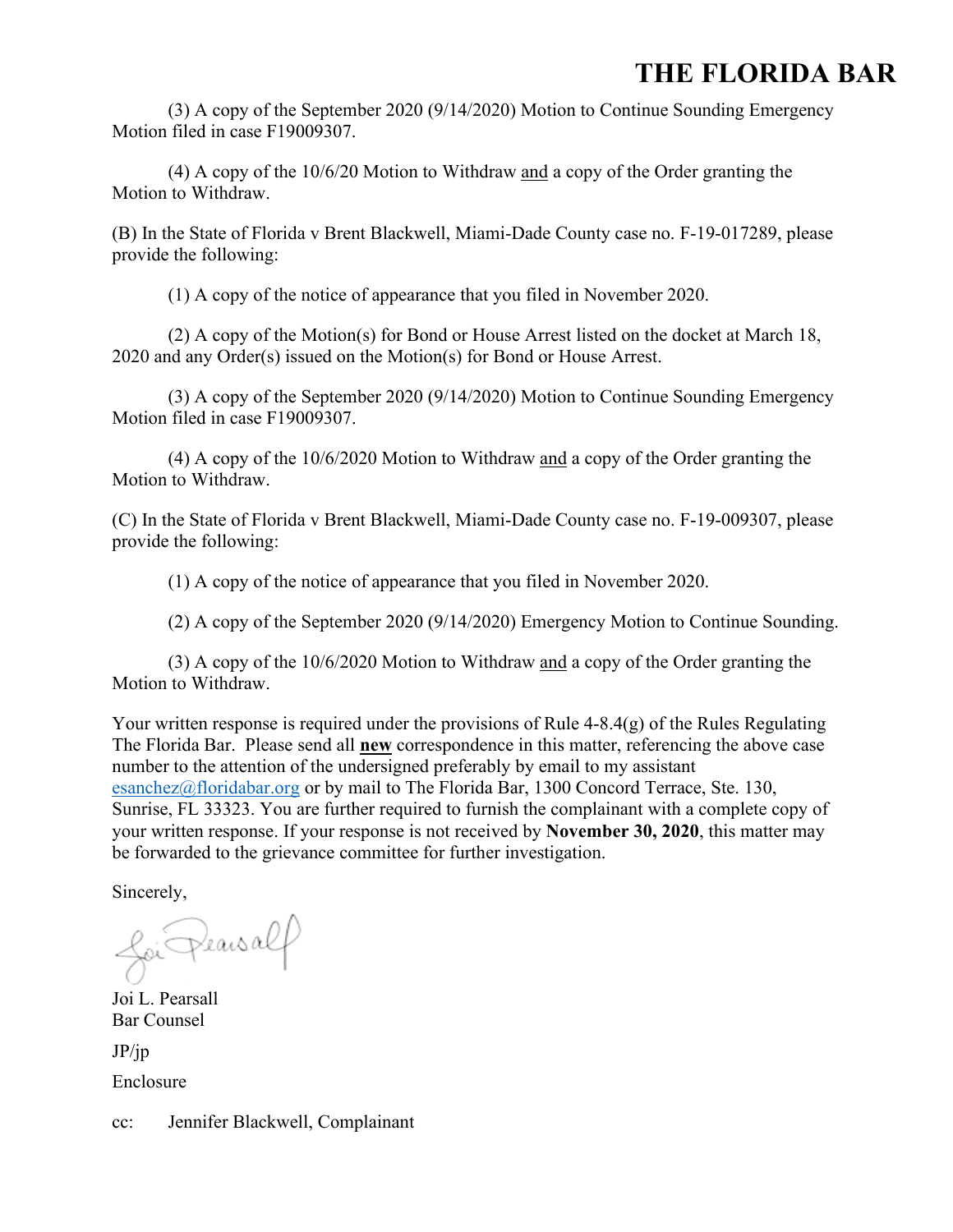## **THE FLORIDA BAR**

(3) A copy of the September 2020 (9/14/2020) Motion to Continue Sounding Emergency Motion filed in case F19009307.

(4) A copy of the 10/6/20 Motion to Withdraw and a copy of the Order granting the Motion to Withdraw.

(B) In the State of Florida v Brent Blackwell, Miami-Dade County case no. F-19-017289, please provide the following:

(1) A copy of the notice of appearance that you filed in November 2020.

(2) A copy of the Motion(s) for Bond or House Arrest listed on the docket at March 18, 2020 and any Order(s) issued on the Motion(s) for Bond or House Arrest.

(3) A copy of the September 2020 (9/14/2020) Motion to Continue Sounding Emergency Motion filed in case F19009307.

(4) A copy of the 10/6/2020 Motion to Withdraw and a copy of the Order granting the Motion to Withdraw.

(C) In the State of Florida v Brent Blackwell, Miami-Dade County case no. F-19-009307, please provide the following:

(1) A copy of the notice of appearance that you filed in November 2020.

(2) A copy of the September 2020 (9/14/2020) Emergency Motion to Continue Sounding.

(3) A copy of the 10/6/2020 Motion to Withdraw and a copy of the Order granting the Motion to Withdraw.

Your written response is required under the provisions of Rule 4-8.4(g) of the Rules Regulating The Florida Bar. Please send all **new** correspondence in this matter, referencing the above case number to the attention of the undersigned preferably by email to my assistant [esanchez@floridabar.org](mailto:esanchez@floridabar.org) or by mail to The Florida Bar, 1300 Concord Terrace, Ste. 130, Sunrise, FL 33323. You are further required to furnish the complainant with a complete copy of your written response. If your response is not received by **November 30, 2020**, this matter may be forwarded to the grievance committee for further investigation.

Sincerely,

foi Pearsalf

Joi L. Pearsall Bar Counsel

 $JP$ /jp Enclosure

cc: Jennifer Blackwell, Complainant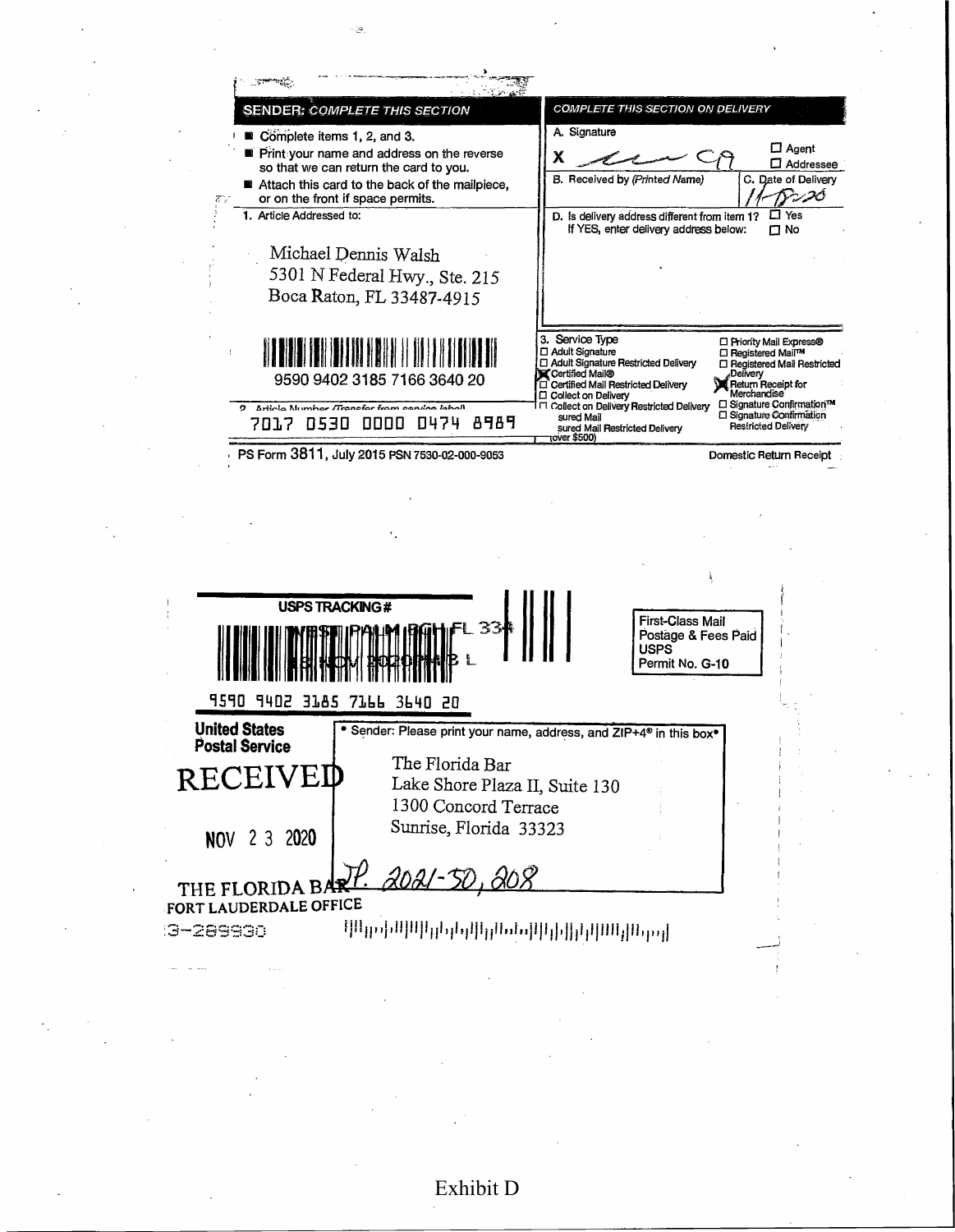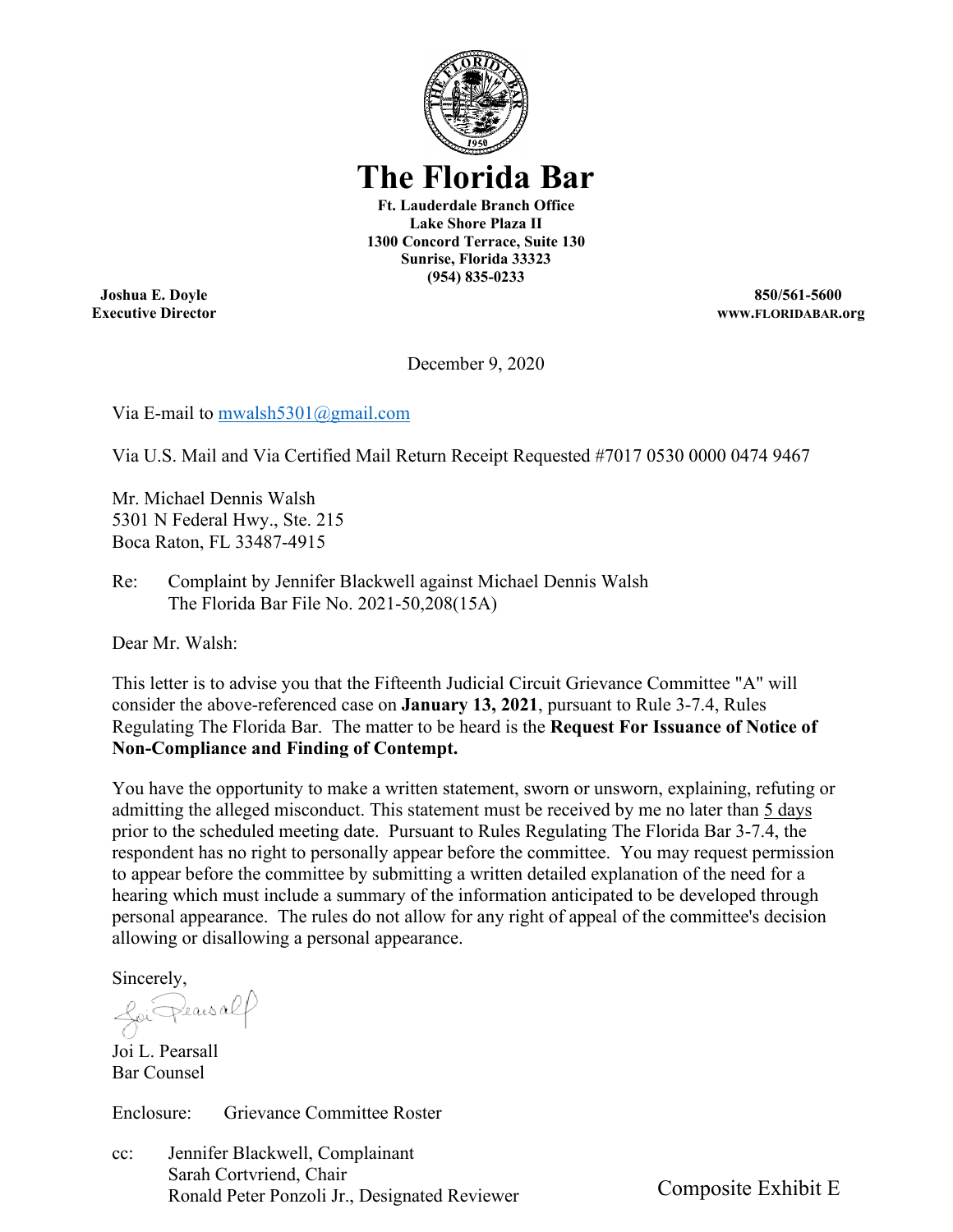

# **The Florida Bar**

**Ft. Lauderdale Branch Office Lake Shore Plaza II 1300 Concord Terrace, Suite 130 Sunrise, Florida 33323 (954) 835-0233** 

**Joshua E. Doyle Executive Director** 

**850/561-5600 www.FLORIDABAR.org** 

December 9, 2020

Via E-mail to [mwalsh5301@gmail.com](mailto:mwalsh5301@gmail.com) 

Via U.S. Mail and Via Certified Mail Return Receipt Requested #7017 0530 0000 0474 9467

Mr. Michael Dennis Walsh 5301 N Federal Hwy., Ste. 215 Boca Raton, FL 33487-4915

Re: Complaint by Jennifer Blackwell against Michael Dennis Walsh The Florida Bar File No. 2021-50,208(15A)

Dear Mr. Walsh:

This letter is to advise you that the Fifteenth Judicial Circuit Grievance Committee "A" will consider the above-referenced case on **January 13, 2021**, pursuant to Rule 3-7.4, Rules Regulating The Florida Bar. The matter to be heard is the **Request For Issuance of Notice of Non-Compliance and Finding of Contempt.** 

You have the opportunity to make a written statement, sworn or unsworn, explaining, refuting or admitting the alleged misconduct. This statement must be received by me no later than 5 days prior to the scheduled meeting date. Pursuant to Rules Regulating The Florida Bar 3-7.4, the respondent has no right to personally appear before the committee. You may request permission to appear before the committee by submitting a written detailed explanation of the need for a hearing which must include a summary of the information anticipated to be developed through personal appearance. The rules do not allow for any right of appeal of the committee's decision allowing or disallowing a personal appearance.

Sincerely,

foi Pearsalf

Joi L. Pearsall Bar Counsel

Enclosure: Grievance Committee Roster

cc: Jennifer Blackwell, Complainant Sarah Cortvriend, Chair Ronald Peter Ponzoli Jr., Designated Reviewer

Composite Exhibit E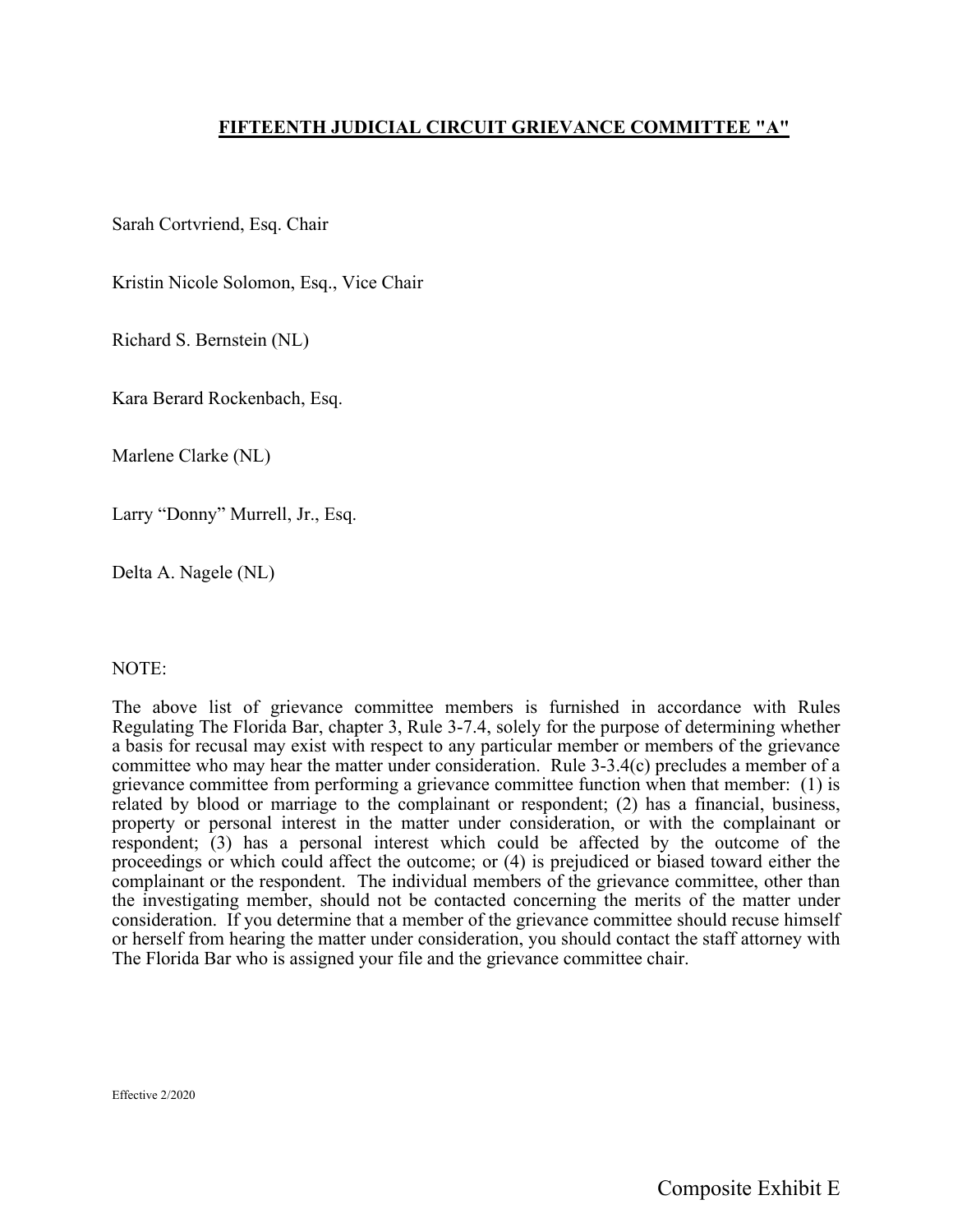#### **FIFTEENTH JUDICIAL CIRCUIT GRIEVANCE COMMITTEE "A"**

Sarah Cortvriend, Esq. Chair

Kristin Nicole Solomon, Esq., Vice Chair

Richard S. Bernstein (NL)

Kara Berard Rockenbach, Esq.

Marlene Clarke (NL)

Larry "Donny" Murrell, Jr., Esq.

Delta A. Nagele (NL)

#### NOTE:

The above list of grievance committee members is furnished in accordance with Rules Regulating The Florida Bar, chapter 3, Rule 3-7.4, solely for the purpose of determining whether a basis for recusal may exist with respect to any particular member or members of the grievance committee who may hear the matter under consideration. Rule 3-3.4(c) precludes a member of a grievance committee from performing a grievance committee function when that member: (1) is related by blood or marriage to the complainant or respondent; (2) has a financial, business, property or personal interest in the matter under consideration, or with the complainant or respondent; (3) has a personal interest which could be affected by the outcome of the proceedings or which could affect the outcome; or (4) is prejudiced or biased toward either the complainant or the respondent. The individual members of the grievance committee, other than the investigating member, should not be contacted concerning the merits of the matter under consideration. If you determine that a member of the grievance committee should recuse himself or herself from hearing the matter under consideration, you should contact the staff attorney with The Florida Bar who is assigned your file and the grievance committee chair.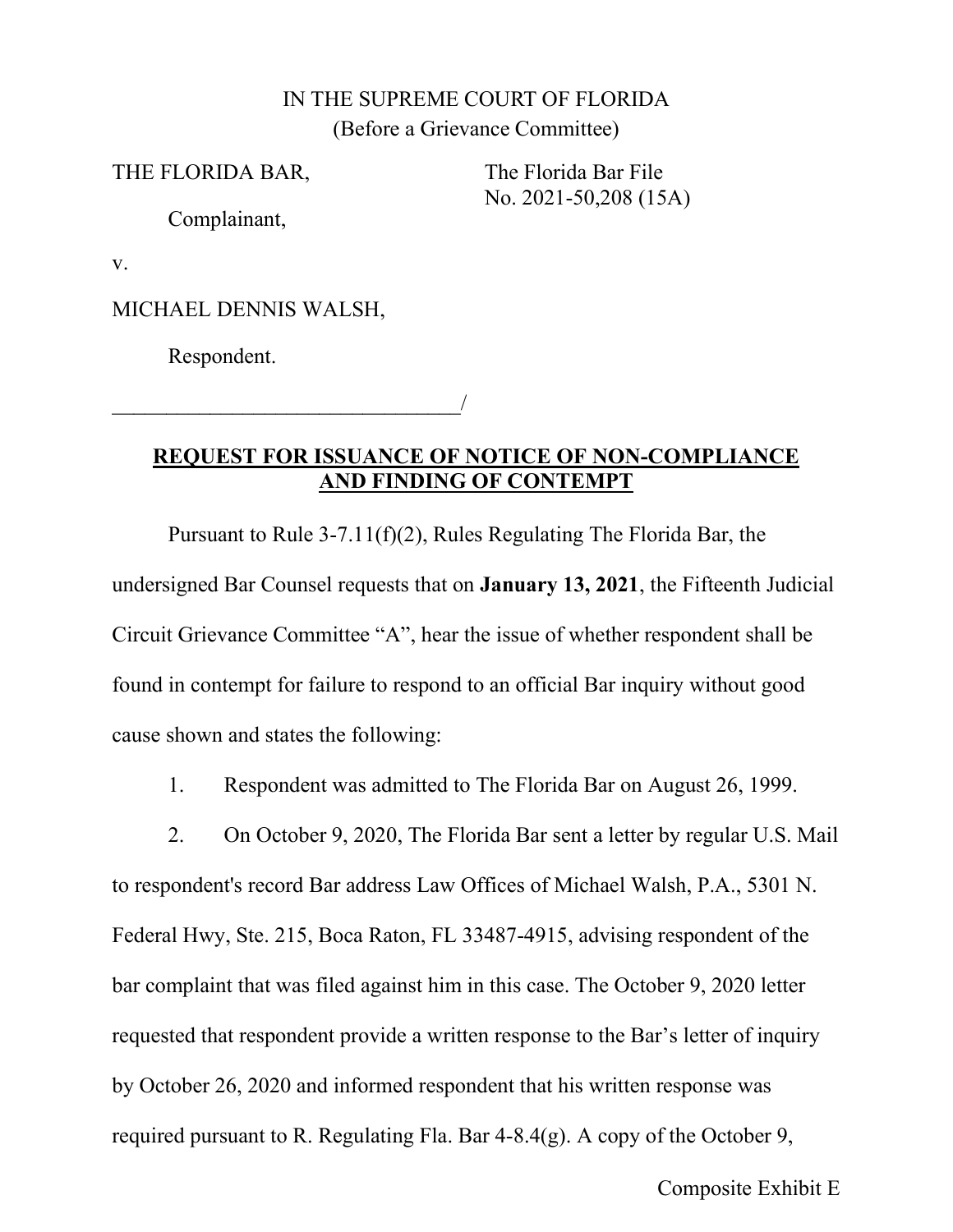## IN THE SUPREME COURT OF FLORIDA (Before a Grievance Committee)

THE FLORIDA BAR, The Florida Bar File

No. 2021-50,208 (15A)

Complainant,

v.

MICHAEL DENNIS WALSH,

\_\_\_\_\_\_\_\_\_\_\_\_\_\_\_\_\_\_\_\_\_\_\_\_\_\_\_\_\_\_\_\_/

Respondent.

**REQUEST FOR ISSUANCE OF NOTICE OF NON-COMPLIANCE AND FINDING OF CONTEMPT** 

Pursuant to Rule 3-7.11(f)(2), Rules Regulating The Florida Bar, the undersigned Bar Counsel requests that on **January 13, 2021**, the Fifteenth Judicial Circuit Grievance Committee "A", hear the issue of whether respondent shall be found in contempt for failure to respond to an official Bar inquiry without good cause shown and states the following:

1. Respondent was admitted to The Florida Bar on August 26, 1999.

2. On October 9, 2020, The Florida Bar sent a letter by regular U.S. Mail to respondent's record Bar address Law Offices of Michael Walsh, P.A., 5301 N. Federal Hwy, Ste. 215, Boca Raton, FL 33487-4915, advising respondent of the bar complaint that was filed against him in this case. The October 9, 2020 letter requested that respondent provide a written response to the Bar's letter of inquiry by October 26, 2020 and informed respondent that his written response was required pursuant to R. Regulating Fla. Bar 4-8.4(g). A copy of the October 9,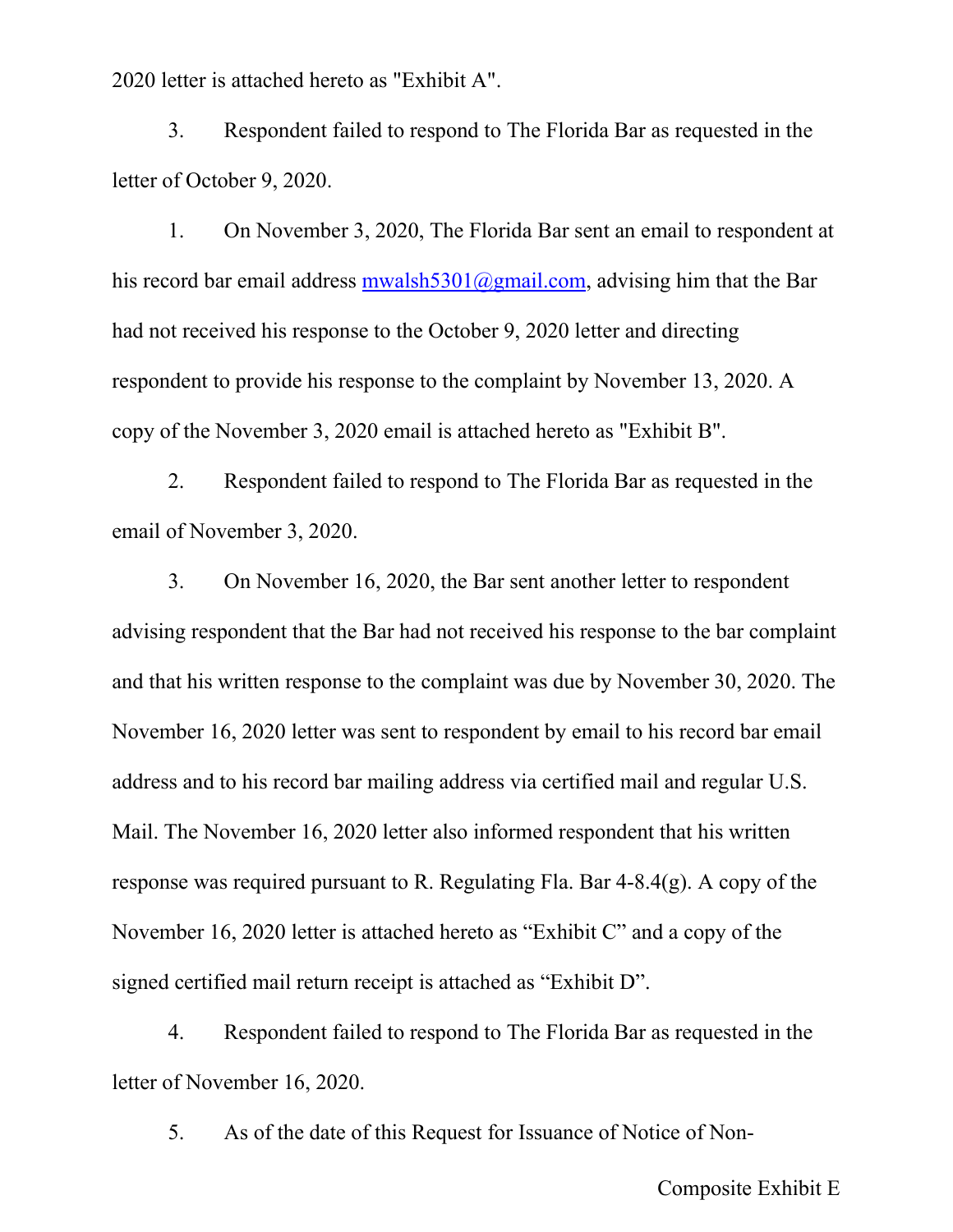2020 letter is attached hereto as "Exhibit A".

3. Respondent failed to respond to The Florida Bar as requested in the letter of October 9, 2020.

1. On November 3, 2020, The Florida Bar sent an email to respondent at his record bar email address [mwalsh5301@gmail.com,](mailto:mwalsh5301@gmail.com) advising him that the Bar had not received his response to the October 9, 2020 letter and directing respondent to provide his response to the complaint by November 13, 2020. A copy of the November 3, 2020 email is attached hereto as "Exhibit B".

2. Respondent failed to respond to The Florida Bar as requested in the email of November 3, 2020.

3. On November 16, 2020, the Bar sent another letter to respondent advising respondent that the Bar had not received his response to the bar complaint and that his written response to the complaint was due by November 30, 2020. The November 16, 2020 letter was sent to respondent by email to his record bar email address and to his record bar mailing address via certified mail and regular U.S. Mail. The November 16, 2020 letter also informed respondent that his written response was required pursuant to R. Regulating Fla. Bar 4-8.4(g). A copy of the November 16, 2020 letter is attached hereto as "Exhibit C" and a copy of the signed certified mail return receipt is attached as "Exhibit D".

4. Respondent failed to respond to The Florida Bar as requested in the letter of November 16, 2020.

5. As of the date of this Request for Issuance of Notice of Non-

Composite Exhibit E